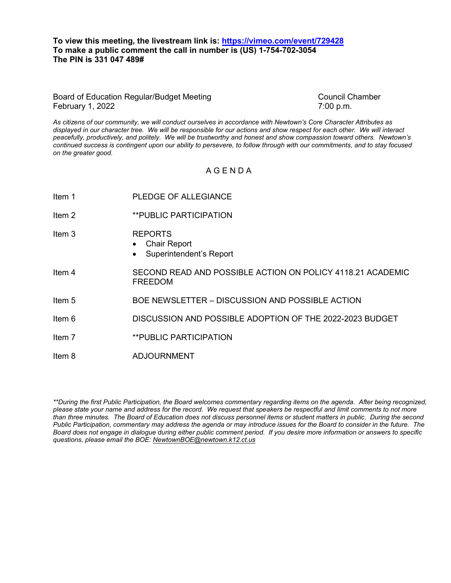### **To view this meeting, the livestream link is:<https://vimeo.com/event/729428> To make a public comment the call in number is (US) 1-754-702-3054 The PIN is 331 047 489#**

#### Board of Education Regular/Budget Meeting Council Chamber Council Chamber February 1, 2022 **7:00 p.m.**

*As citizens of our community, we will conduct ourselves in accordance with Newtown's Core Character Attributes as displayed in our character tree. We will be responsible for our actions and show respect for each other. We will interact peacefully, productively, and politely. We will be trustworthy and honest and show compassion toward others. Newtown's continued success is contingent upon our ability to persevere, to follow through with our commitments, and to stay focused on the greater good.*

## A G E N D A

Item 1 PLEDGE OF ALLEGIANCE Item 2 **\*\*PUBLIC PARTICIPATION** Item 3 REPORTS • Chair Report Superintendent's Report Item 4 SECOND READ AND POSSIBLE ACTION ON POLICY 4118.21 ACADEMIC FREEDOM Item 5 BOE NEWSLETTER – DISCUSSION AND POSSIBLE ACTION Item 6 DISCUSSION AND POSSIBLE ADOPTION OF THE 2022-2023 BUDGET Item 7 **\*\*PUBLIC PARTICIPATION** Item 8 ADJOURNMENT

*\*\*During the first Public Participation, the Board welcomes commentary regarding items on the agenda. After being recognized, please state your name and address for the record. We request that speakers be respectful and limit comments to not more than three minutes. The Board of Education does not discuss personnel items or student matters in public. During the second Public Participation, commentary may address the agenda or may introduce issues for the Board to consider in the future. The Board does not engage in dialogue during either public comment period. If you desire more information or answers to specific questions, please email the BOE[: NewtownBOE@newtown.k12.ct.us](mailto:NewtownBOE@newtown.k12.ct.us)*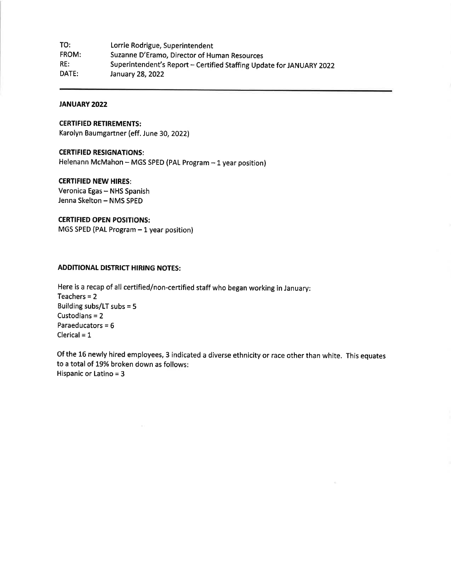| TO:   | Lorrie Rodrigue, Superintendent                                      |
|-------|----------------------------------------------------------------------|
| FROM: | Suzanne D'Eramo, Director of Human Resources                         |
| RE:   | Superintendent's Report - Certified Staffing Update for JANUARY 2022 |
| DATE: | January 28, 2022                                                     |

### **JANUARY 2022**

#### **CERTIFIED RETIREMENTS:**

Karolyn Baumgartner (eff. June 30, 2022)

#### **CERTIFIED RESIGNATIONS:**

Helenann McMahon - MGS SPED (PAL Program - 1 year position)

#### **CERTIFIED NEW HIRES:**

Veronica Egas - NHS Spanish Jenna Skelton - NMS SPED

## **CERTIFIED OPEN POSITIONS:**

MGS SPED (PAL Program - 1 year position)

## **ADDITIONAL DISTRICT HIRING NOTES:**

Here is a recap of all certified/non-certified staff who began working in January: Teachers =  $2$ Building subs/LT subs = 5 Custodians = 2 Paraeducators =  $6$ Clerical =  $1$ 

Of the 16 newly hired employees, 3 indicated a diverse ethnicity or race other than white. This equates to a total of 19% broken down as follows: Hispanic or Latino = 3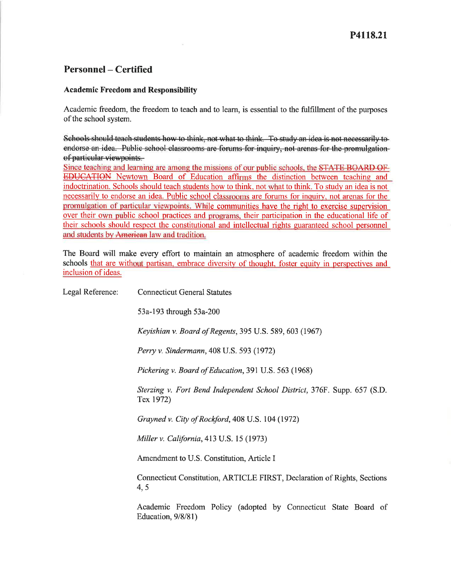# **Personnel – Certified**

## **Academic Freedom and Responsibility**

Academic freedom, the freedom to teach and to learn, is essential to the fulfillment of the purposes of the school system.

Schools should teach students how to think, not what to think. To study an idea is not necessarily to endorse an idea. Public school classrooms are forums for inquiry, not arenas for the promulgationof particular viewpoints.

Since teaching and learning are among the missions of our public schools, the STATE BOARD OF **EDUCATION** Newtown Board of Education affirms the distinction between teaching and indoctrination. Schools should teach students how to think, not what to think. To study an idea is not necessarily to endorse an idea. Public school classrooms are forums for inquiry, not arenas for the promulgation of particular viewpoints. While communities have the right to exercise supervision over their own public school practices and programs, their participation in the educational life of their schools should respect the constitutional and intellectual rights guaranteed school personnel and students by American law and tradition.

The Board will make every effort to maintain an atmosphere of academic freedom within the schools that are without partisan, embrace diversity of thought, foster equity in perspectives and inclusion of ideas.

| Legal Reference: | <b>Connecticut General Statutes</b>                                                   |
|------------------|---------------------------------------------------------------------------------------|
|                  | 53a-193 through 53a-200                                                               |
|                  | <i>Keyishian v. Board of Regents, 395 U.S. 589, 603 (1967)</i>                        |
|                  | Perry v. Sindermann, 408 U.S. 593 (1972)                                              |
|                  | Pickering v. Board of Education, 391 U.S. 563 (1968)                                  |
|                  | Sterzing v. Fort Bend Independent School District, 376F. Supp. 657 (S.D.<br>Tex 1972) |
|                  | Grayned v. City of Rockford, 408 U.S. 104 (1972)                                      |
|                  | <i>Miller v. California</i> , 413 U.S. 15 (1973)                                      |
|                  | Amendment to U.S. Constitution, Article I                                             |
|                  | Connecticut Constitution, ARTICLE FIRST, Declaration of Rights, Sections<br>4, 5      |
|                  | Academic Freedom Policy (adopted by Connecticut State Board of<br>Education, 9/8/81)  |